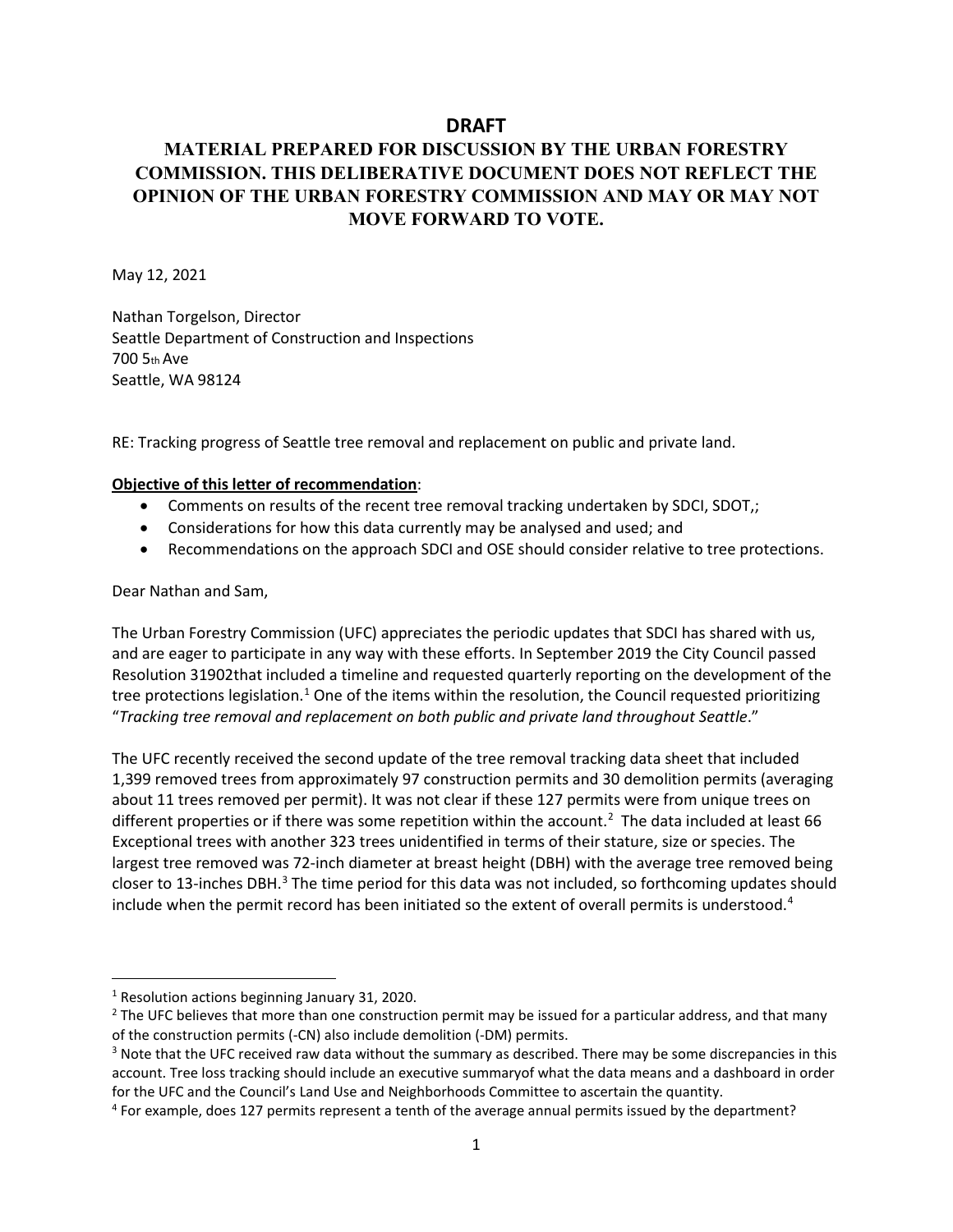# **DRAFT**

# **MATERIAL PREPARED FOR DISCUSSION BY THE URBAN FORESTRY COMMISSION. THIS DELIBERATIVE DOCUMENT DOES NOT REFLECT THE OPINION OF THE URBAN FORESTRY COMMISSION AND MAY OR MAY NOT MOVE FORWARD TO VOTE.**

May 12, 2021

Nathan Torgelson, Director Seattle Department of Construction and Inspections 700 5th Ave Seattle, WA 98124

RE: Tracking progress of Seattle tree removal and replacement on public and private land.

## **Objective of this letter of recommendation**:

- Comments on results of the recent tree removal tracking undertaken by SDCI, SDOT,;
- Considerations for how this data currently may be analysed and used; and
- Recommendations on the approach SDCI and OSE should consider relative to tree protections.

Dear Nathan and Sam,

The Urban Forestry Commission (UFC) appreciates the periodic updates that SDCI has shared with us, and are eager to participate in any way with these efforts. In September 2019 the City Council passed Resolution 31902that included a timeline and requested quarterly reporting on the development of the tree protections legislation.<sup>[1](#page-0-0)</sup> One of the items within the resolution, the Council requested prioritizing "*Tracking tree removal and replacement on both public and private land throughout Seattle*."

The UFC recently received the second update of the tree removal tracking data sheet that included 1,399 removed trees from approximately 97 construction permits and 30 demolition permits (averaging about 11 trees removed per permit). It was not clear if these 127 permits were from unique trees on different properties or if there was some repetition within the account.<sup>[2](#page-0-1)</sup> The data included at least 66 Exceptional trees with another 323 trees unidentified in terms of their stature, size or species. The largest tree removed was 72-inch diameter at breast height (DBH) with the average tree removed being closer to 13-inches DBH.<sup>3</sup> The time period for this data was not included, so forthcoming updates should include when the permit record has been initiated so the extent of overall permits is understood.<sup>[4](#page-1-0)</sup>

<span id="page-0-0"></span><sup>1</sup> Resolution actions beginning January 31, 2020.

<span id="page-0-1"></span><sup>&</sup>lt;sup>2</sup> The UFC believes that more than one construction permit may be issued for a particular address, and that many of the construction permits (-CN) also include demolition (-DM) permits.

<span id="page-0-2"></span><sup>&</sup>lt;sup>3</sup> Note that the UFC received raw data without the summary as described. There may be some discrepancies in this account. Tree loss tracking should include an executive summaryof what the data means and a dashboard in order

for the UFC and the Council's Land Use and Neighborhoods Committee to ascertain the quantity.<br><sup>4</sup> For example, does 127 permits represent a tenth of the average annual permits issued by the department?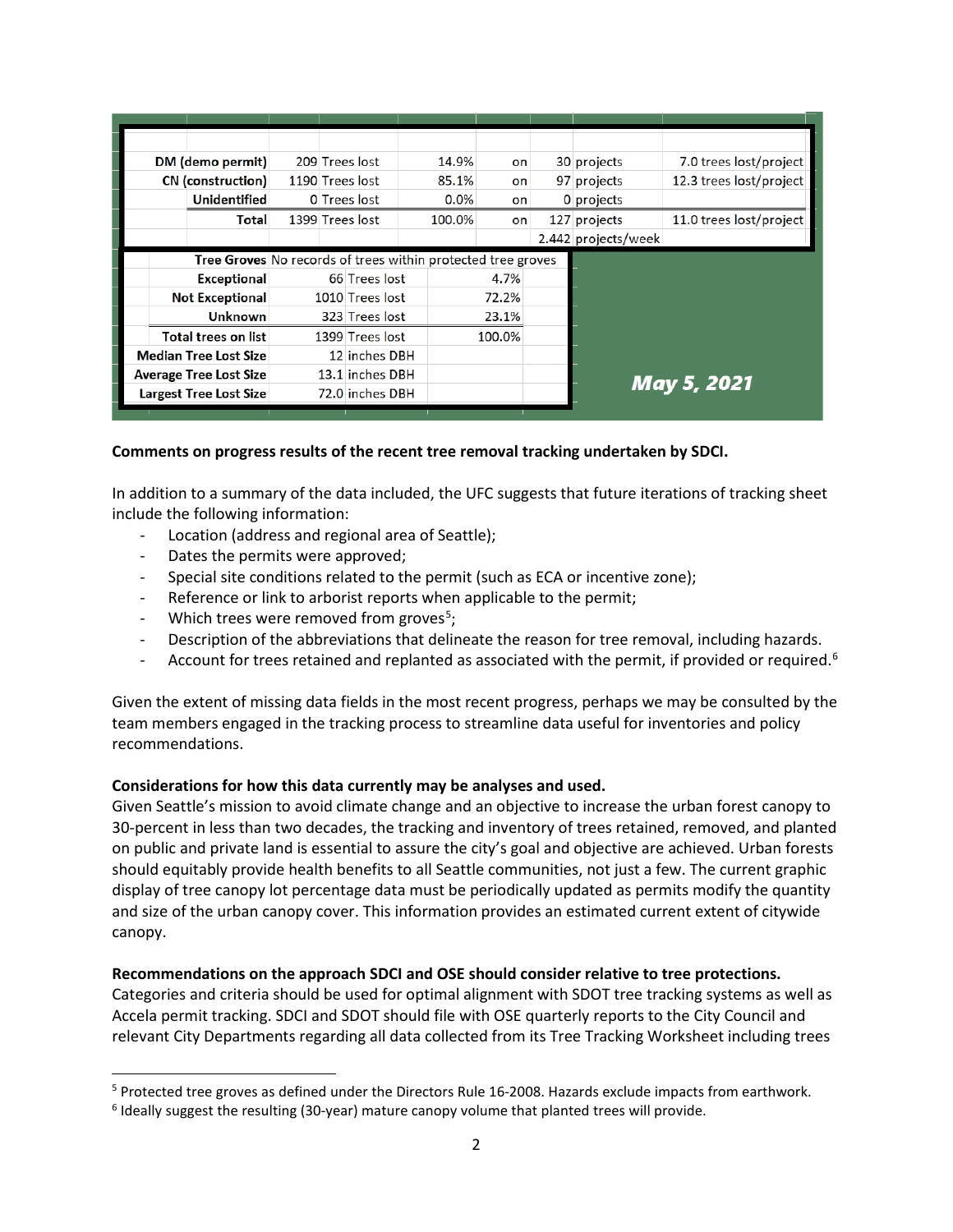| DM (demo permit) |                               |                                                              | 209 Trees lost  | 14.9%  | on     |  | 30 projects         | 7.0 trees lost/project  |
|------------------|-------------------------------|--------------------------------------------------------------|-----------------|--------|--------|--|---------------------|-------------------------|
|                  | CN (construction)             |                                                              | 1190 Trees lost | 85.1%  | on     |  | 97 projects         | 12.3 trees lost/project |
|                  | Unidentified                  |                                                              | 0 Trees lost    | 0.0%   | on     |  | 0 projects          |                         |
|                  | Total                         |                                                              | 1399 Trees lost | 100.0% | on     |  | 127 projects        | 11.0 trees lost/project |
|                  |                               |                                                              |                 |        |        |  | 2.442 projects/week |                         |
|                  |                               | Tree Groves No records of trees within protected tree groves |                 |        |        |  |                     |                         |
|                  | <b>Exceptional</b>            |                                                              | 66 Trees lost   |        | 4.7%   |  |                     |                         |
|                  | <b>Not Exceptional</b>        |                                                              | 1010 Trees lost |        | 72.2%  |  |                     |                         |
|                  | <b>Unknown</b>                |                                                              | 323 Trees lost  |        | 23.1%  |  |                     |                         |
|                  |                               |                                                              |                 |        |        |  |                     |                         |
|                  | <b>Total trees on list</b>    |                                                              | 1399 Trees lost |        | 100.0% |  |                     |                         |
|                  | <b>Median Tree Lost Size</b>  |                                                              | 12 inches DBH   |        |        |  |                     |                         |
|                  | <b>Average Tree Lost Size</b> |                                                              | 13.1 inches DBH |        |        |  |                     |                         |
|                  | <b>Largest Tree Lost Size</b> |                                                              | 72.0 inches DBH |        |        |  |                     | May 5, 2021             |

# **Comments on progress results of the recent tree removal tracking undertaken by SDCI.**

In addition to a summary of the data included, the UFC suggests that future iterations of tracking sheet include the following information:

- Location (address and regional area of Seattle);
- Dates the permits were approved;
- Special site conditions related to the permit (such as ECA or incentive zone);
- Reference or link to arborist reports when applicable to the permit;
- Which trees were removed from groves<sup>[5](#page-1-1)</sup>;
- Description of the abbreviations that delineate the reason for tree removal, including hazards.
- Account for trees retained and replanted as associated with the permit, if provided or required.<sup>[6](#page-1-2)</sup>

Given the extent of missing data fields in the most recent progress, perhaps we may be consulted by the team members engaged in the tracking process to streamline data useful for inventories and policy recommendations.

## **Considerations for how this data currently may be analyses and used.**

Given Seattle's mission to avoid climate change and an objective to increase the urban forest canopy to 30-percent in less than two decades, the tracking and inventory of trees retained, removed, and planted on public and private land is essential to assure the city's goal and objective are achieved. Urban forests should equitably provide health benefits to all Seattle communities, not just a few. The current graphic display of tree canopy lot percentage data must be periodically updated as permits modify the quantity and size of the urban canopy cover. This information provides an estimated current extent of citywide canopy.

## **Recommendations on the approach SDCI and OSE should consider relative to tree protections.**

Categories and criteria should be used for optimal alignment with SDOT tree tracking systems as well as Accela permit tracking. SDCI and SDOT should file with OSE quarterly reports to the City Council and relevant City Departments regarding all data collected from its Tree Tracking Worksheet including trees

<span id="page-1-1"></span><span id="page-1-0"></span><sup>5</sup> Protected tree groves as defined under the Directors Rule 16-2008. Hazards exclude impacts from earthwork.

<span id="page-1-2"></span><sup>6</sup> Ideally suggest the resulting (30-year) mature canopy volume that planted trees will provide.